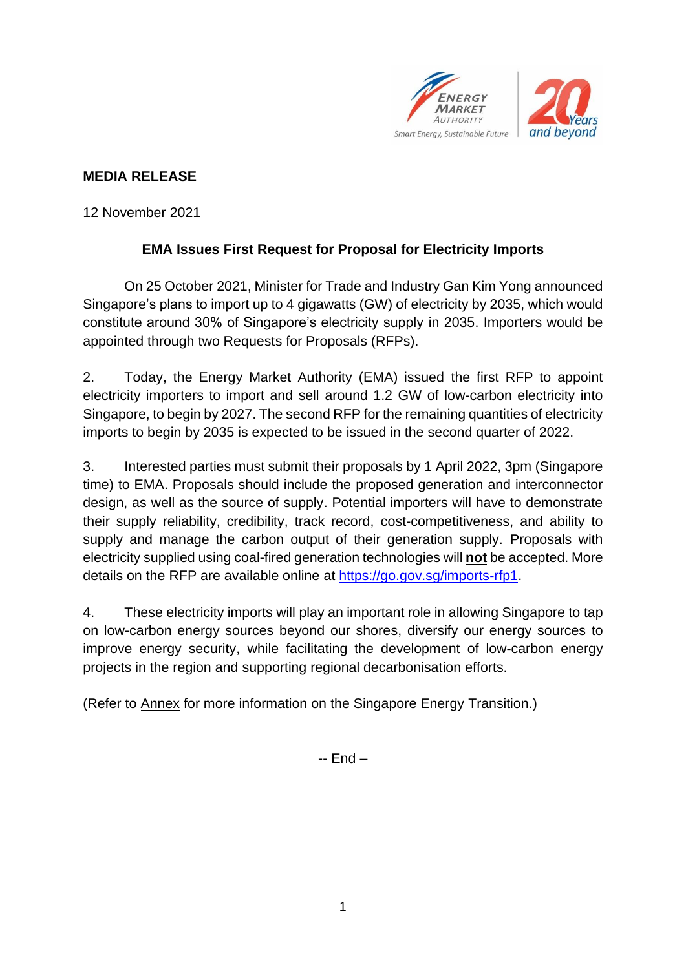

# **MEDIA RELEASE**

12 November 2021

# **EMA Issues First Request for Proposal for Electricity Imports**

On 25 October 2021, Minister for Trade and Industry Gan Kim Yong announced Singapore's plans to import up to 4 gigawatts (GW) of electricity by 2035, which would constitute around 30% of Singapore's electricity supply in 2035. Importers would be appointed through two Requests for Proposals (RFPs).

2. Today, the Energy Market Authority (EMA) issued the first RFP to appoint electricity importers to import and sell around 1.2 GW of low-carbon electricity into Singapore, to begin by 2027. The second RFP for the remaining quantities of electricity imports to begin by 2035 is expected to be issued in the second quarter of 2022.

3. Interested parties must submit their proposals by 1 April 2022, 3pm (Singapore time) to EMA. Proposals should include the proposed generation and interconnector design, as well as the source of supply. Potential importers will have to demonstrate their supply reliability, credibility, track record, cost-competitiveness, and ability to supply and manage the carbon output of their generation supply. Proposals with electricity supplied using coal-fired generation technologies will **not** be accepted. More details on the RFP are available online at [https://go.gov.sg/imports-rfp1.](https://go.gov.sg/imports-rfp1)

4. These electricity imports will play an important role in allowing Singapore to tap on low-carbon energy sources beyond our shores, diversify our energy sources to improve energy security, while facilitating the development of low-carbon energy projects in the region and supporting regional decarbonisation efforts.

(Refer to Annex for more information on the Singapore Energy Transition.)

-- End –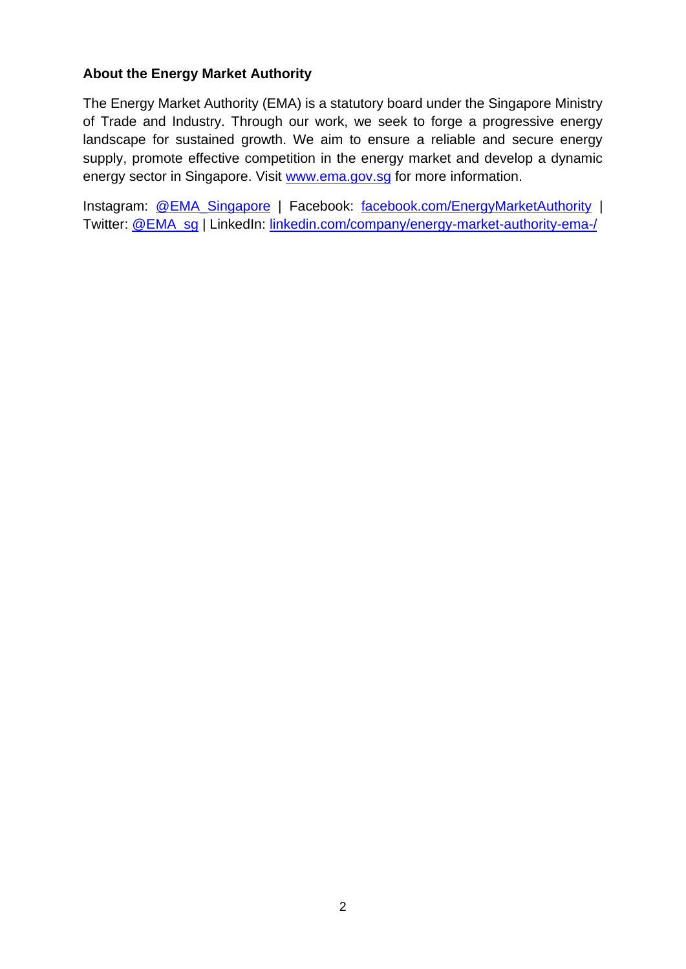#### **About the Energy Market Authority**

The Energy Market Authority (EMA) is a statutory board under the Singapore Ministry of Trade and Industry. Through our work, we seek to forge a progressive energy landscape for sustained growth. We aim to ensure a reliable and secure energy supply, promote effective competition in the energy market and develop a dynamic energy sector in Singapore. Visit [www.ema.gov.sg](http://www.ema.gov.sg/) for more information.

Instagram: [@EMA\\_Singapore](http://www.instagram.com/ema_singapore) | Facebook: [facebook.com/EnergyMarketAuthority](http://www.facebook.com/EnergyMarketAuthority) | Twitter: [@EMA\\_sg](http://www.twitter.com/ema_sg) | LinkedIn: [linkedin.com/company/energy-market-authority-ema-/](https://www.linkedin.com/company/energy-market-authority-ema-/)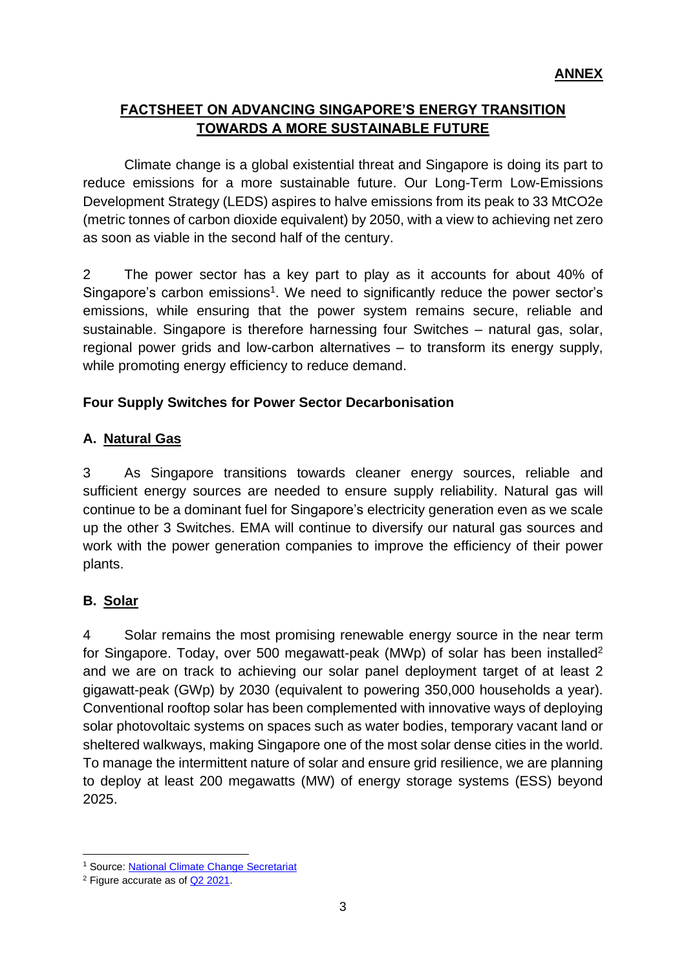# **FACTSHEET ON ADVANCING SINGAPORE'S ENERGY TRANSITION TOWARDS A MORE SUSTAINABLE FUTURE**

Climate change is a global existential threat and Singapore is doing its part to reduce emissions for a more sustainable future. Our Long-Term Low-Emissions Development Strategy (LEDS) aspires to halve emissions from its peak to 33 MtCO2e (metric tonnes of carbon dioxide equivalent) by 2050, with a view to achieving net zero as soon as viable in the second half of the century.

2 The power sector has a key part to play as it accounts for about 40% of Singapore's carbon emissions<sup>1</sup>. We need to significantly reduce the power sector's emissions, while ensuring that the power system remains secure, reliable and sustainable. Singapore is therefore harnessing four Switches – natural gas, solar, regional power grids and low-carbon alternatives – to transform its energy supply, while promoting energy efficiency to reduce demand.

## **Four Supply Switches for Power Sector Decarbonisation**

## **A. Natural Gas**

3 As Singapore transitions towards cleaner energy sources, reliable and sufficient energy sources are needed to ensure supply reliability. Natural gas will continue to be a dominant fuel for Singapore's electricity generation even as we scale up the other 3 Switches. EMA will continue to diversify our natural gas sources and work with the power generation companies to improve the efficiency of their power plants.

### **B. Solar**

4 Solar remains the most promising renewable energy source in the near term for Singapore. Today, over 500 megawatt-peak (MWp) of solar has been installed<sup>2</sup> and we are on track to achieving our solar panel deployment target of at least 2 gigawatt-peak (GWp) by 2030 (equivalent to powering 350,000 households a year). Conventional rooftop solar has been complemented with innovative ways of deploying solar photovoltaic systems on spaces such as water bodies, temporary vacant land or sheltered walkways, making Singapore one of the most solar dense cities in the world. To manage the intermittent nature of solar and ensure grid resilience, we are planning to deploy at least 200 megawatts (MW) of energy storage systems (ESS) beyond 2025.

<sup>1</sup> Source: National Climate Change [Secretariat](https://www.nccs.gov.sg/singapores-climate-action/singapore-emissions-profile/)

<sup>2</sup> Figure accurate as of Q2 [2021.](https://www.ema.gov.sg/statistic.aspx?sta_sid=20170711hc85chOLVvWp)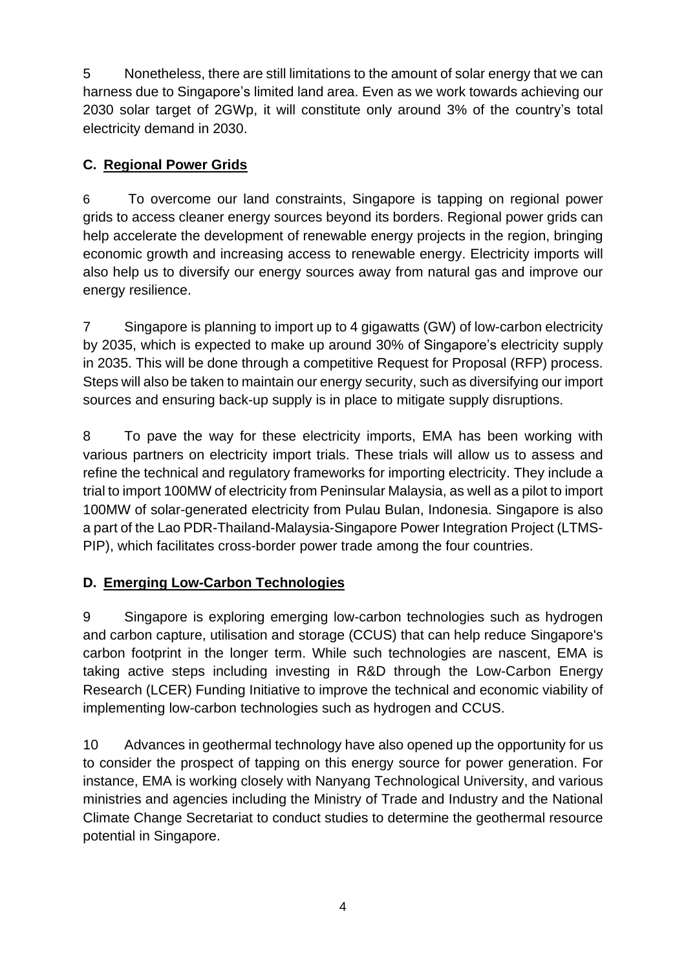5 Nonetheless, there are still limitations to the amount of solar energy that we can harness due to Singapore's limited land area. Even as we work towards achieving our 2030 solar target of 2GWp, it will constitute only around 3% of the country's total electricity demand in 2030.

# **C. Regional Power Grids**

6 To overcome our land constraints, Singapore is tapping on regional power grids to access cleaner energy sources beyond its borders. Regional power grids can help accelerate the development of renewable energy projects in the region, bringing economic growth and increasing access to renewable energy. Electricity imports will also help us to diversify our energy sources away from natural gas and improve our energy resilience.

7 Singapore is planning to import up to 4 gigawatts (GW) of low-carbon electricity by 2035, which is expected to make up around 30% of Singapore's electricity supply in 2035. This will be done through a competitive Request for Proposal (RFP) process. Steps will also be taken to maintain our energy security, such as diversifying our import sources and ensuring back-up supply is in place to mitigate supply disruptions.

8 To pave the way for these electricity imports, EMA has been working with various partners on electricity import trials. These trials will allow us to assess and refine the technical and regulatory frameworks for importing electricity. They include a trial to import 100MW of electricity from Peninsular Malaysia, as well as a pilot to import 100MW of solar-generated electricity from Pulau Bulan, Indonesia. Singapore is also a part of the Lao PDR-Thailand-Malaysia-Singapore Power Integration Project (LTMS-PIP), which facilitates cross-border power trade among the four countries.

# **D. Emerging Low-Carbon Technologies**

9 Singapore is exploring emerging low-carbon technologies such as hydrogen and carbon capture, utilisation and storage (CCUS) that can help reduce Singapore's carbon footprint in the longer term. While such technologies are nascent, EMA is taking active steps including investing in R&D through the Low-Carbon Energy Research (LCER) Funding Initiative to improve the technical and economic viability of implementing low-carbon technologies such as hydrogen and CCUS.

10 Advances in geothermal technology have also opened up the opportunity for us to consider the prospect of tapping on this energy source for power generation. For instance, EMA is working closely with Nanyang Technological University, and various ministries and agencies including the Ministry of Trade and Industry and the National Climate Change Secretariat to conduct studies to determine the geothermal resource potential in Singapore.